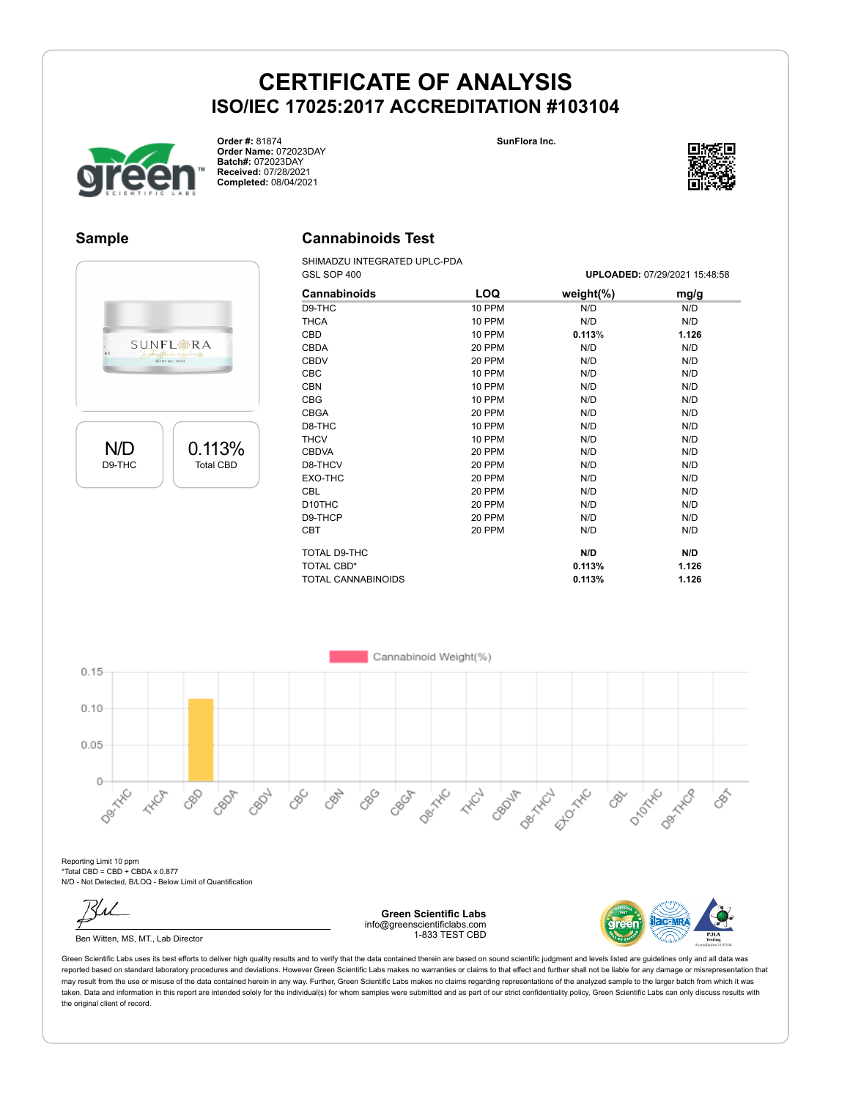



**Order #:** 81874 **Order Name:** 072023DAY **Batch#:** 072023DAY **Received:** 07/28/2021 **Completed:** 08/04/2021



#### **Sample**

#### **Cannabinoids Test**

SHIMADZU INTEGRATED UPLC-PDA

|                           |                  |              | GSL SOP 400        |                                     |           |              | UPLOADED: 07/29/2021 15:48:58 |  |
|---------------------------|------------------|--------------|--------------------|-------------------------------------|-----------|--------------|-------------------------------|--|
|                           |                  |              | Cannabinoids       | LOQ                                 | weight(%) |              | mg/g                          |  |
|                           |                  | D9-THC       |                    | 10 PPM                              | N/D       |              | N/D                           |  |
|                           |                  | <b>THCA</b>  |                    | 10 PPM                              | N/D       |              | N/D                           |  |
|                           |                  | CBD          |                    | 10 PPM                              | 0.113%    |              | 1.126                         |  |
| : & E                     | <b>SUNFL※RA</b>  | <b>CBDA</b>  |                    | 20 PPM                              | N/D       |              | N/D                           |  |
|                           | aufone ageless   | <b>CBDV</b>  |                    | 20 PPM                              | N/D       |              | N/D                           |  |
|                           |                  | CBC          |                    | <b>10 PPM</b>                       | N/D       |              | N/D                           |  |
|                           |                  | CBN          |                    | 10 PPM                              | N/D       |              | N/D                           |  |
|                           |                  | CBG          |                    | <b>10 PPM</b>                       | N/D       |              | N/D                           |  |
|                           |                  | <b>CBGA</b>  |                    | 20 PPM                              | N/D       |              | N/D                           |  |
|                           |                  | D8-THC       |                    | 10 PPM                              | N/D       |              | N/D                           |  |
|                           |                  | <b>THCV</b>  |                    | 10 PPM                              | N/D       |              | N/D                           |  |
| N/D                       | 0.113%           | <b>CBDVA</b> |                    | 20 PPM                              | N/D       |              | N/D                           |  |
| D9-THC                    | <b>Total CBD</b> | D8-THCV      |                    | 20 PPM                              | N/D       |              | N/D                           |  |
|                           |                  | EXO-THC      |                    | 20 PPM                              | N/D       |              | N/D                           |  |
|                           |                  | CBL          |                    | 20 PPM                              | N/D       |              | N/D                           |  |
|                           |                  | D10THC       |                    | 20 PPM                              | N/D       |              | N/D                           |  |
|                           |                  | D9-THCP      |                    | 20 PPM                              | N/D       |              | N/D                           |  |
|                           |                  | <b>CBT</b>   |                    | 20 PPM                              | N/D       |              | N/D                           |  |
|                           |                  |              | TOTAL D9-THC       |                                     | N/D       |              | N/D                           |  |
|                           |                  |              |                    |                                     |           |              |                               |  |
|                           |                  |              | TOTAL CBD*         |                                     | 0.113%    |              | 1.126                         |  |
|                           |                  |              | TOTAL CANNABINOIDS |                                     | 0.113%    |              | 1.126                         |  |
|                           |                  |              |                    |                                     |           |              |                               |  |
|                           |                  |              |                    | Cannabinoid Weight(%)               |           |              |                               |  |
|                           |                  |              |                    |                                     |           |              |                               |  |
|                           |                  |              |                    |                                     |           |              |                               |  |
|                           |                  |              |                    |                                     |           |              |                               |  |
|                           |                  |              |                    |                                     |           |              |                               |  |
|                           |                  |              |                    |                                     |           |              |                               |  |
|                           |                  |              |                    |                                     |           |              |                               |  |
|                           |                  |              |                    |                                     |           |              |                               |  |
| 0.15<br>0.10<br>0.05<br>0 |                  |              |                    |                                     |           |              |                               |  |
|                           |                  |              |                    |                                     |           |              |                               |  |
|                           | CBD<br>CBOA      | CBDV<br>CBC  | CRAY               |                                     |           |              |                               |  |
| Daryth Tube               |                  |              |                    | oso ob other that of other that the |           | ost parke of |                               |  |

Reporting Limit 10 ppm \*Total CBD = CBD + CBDA x 0.877 N/D - Not Detected, B/LOQ - Below Limit of Quantification

Ben Witten, MS, MT., Lab Director

**Green Scientific Labs** info@greenscientificlabs.com 1-833 TEST CBD

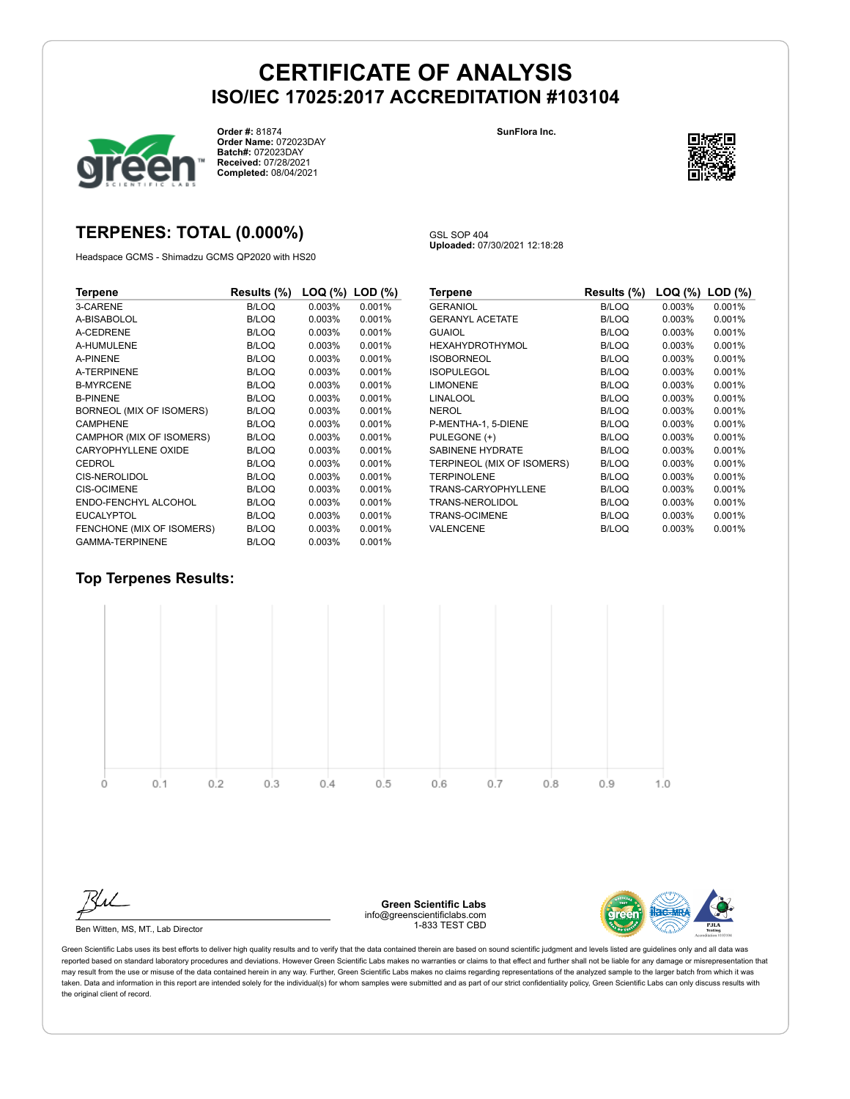

**Order #:** 81874 **Order Name:** 072023DAY **Batch#:** 072023DAY **Received:** 07/28/2021 **Completed:** 08/04/2021

**SunFlora Inc.**



## **TERPENES: TOTAL (0.000%)**

Headspace GCMS - Shimadzu GCMS QP2020 with HS20

GSL SOP 404 **Uploaded:** 07/30/2021 12:18:28

| Terpene                   | Results (%)  | LOQ (%) | $LOD$ $(\%)$ |
|---------------------------|--------------|---------|--------------|
| 3-CARENE                  | <b>B/LOQ</b> | 0.003%  | 0.001%       |
| A-BISABOLOL               | <b>B/LOQ</b> | 0.003%  | 0.001%       |
| A-CEDRENE                 | <b>B/LOQ</b> | 0.003%  | 0.001%       |
| A-HUMULENE                | <b>B/LOQ</b> | 0.003%  | 0.001%       |
| A-PINENE                  | <b>B/LOQ</b> | 0.003%  | 0.001%       |
| <b>A-TERPINENE</b>        | <b>B/LOQ</b> | 0.003%  | 0.001%       |
| <b>B-MYRCENE</b>          | <b>B/LOQ</b> | 0.003%  | 0.001%       |
| <b>B-PINENE</b>           | <b>B/LOQ</b> | 0.003%  | 0.001%       |
| BORNEOL (MIX OF ISOMERS)  | <b>B/LOQ</b> | 0.003%  | 0.001%       |
| <b>CAMPHENE</b>           | <b>B/LOQ</b> | 0.003%  | 0.001%       |
| CAMPHOR (MIX OF ISOMERS)  | <b>B/LOQ</b> | 0.003%  | 0.001%       |
| CARYOPHYLLENE OXIDE       | <b>B/LOQ</b> | 0.003%  | 0.001%       |
| CEDROL                    | <b>B/LOQ</b> | 0.003%  | 0.001%       |
| <b>CIS-NEROLIDOL</b>      | <b>B/LOQ</b> | 0.003%  | 0.001%       |
| <b>CIS-OCIMENE</b>        | <b>B/LOQ</b> | 0.003%  | 0.001%       |
| ENDO-FENCHYL ALCOHOL      | <b>B/LOQ</b> | 0.003%  | 0.001%       |
| <b>EUCALYPTOL</b>         | <b>B/LOQ</b> | 0.003%  | 0.001%       |
| FENCHONE (MIX OF ISOMERS) | <b>B/LOQ</b> | 0.003%  | 0.001%       |
| <b>GAMMA-TERPINENE</b>    | <b>B/LOQ</b> | 0.003%  | 0.001%       |

| Terpene                    | Results (%)  | LOQ (%) | $LOD$ $(\%)$ |
|----------------------------|--------------|---------|--------------|
| <b>GERANIOL</b>            | B/LOQ        | 0.003%  | 0.001%       |
| <b>GERANYL ACETATE</b>     | <b>B/LOQ</b> | 0.003%  | 0.001%       |
| <b>GUAIOL</b>              | <b>B/LOQ</b> | 0.003%  | 0.001%       |
| <b>HEXAHYDROTHYMOL</b>     | <b>B/LOQ</b> | 0.003%  | 0.001%       |
| <b>ISOBORNEOL</b>          | <b>B/LOQ</b> | 0.003%  | 0.001%       |
| <b>ISOPULEGOL</b>          | <b>B/LOQ</b> | 0.003%  | 0.001%       |
| <b>LIMONENE</b>            | <b>B/LOQ</b> | 0.003%  | 0.001%       |
| <b>LINALOOL</b>            | <b>B/LOQ</b> | 0.003%  | 0.001%       |
| <b>NEROL</b>               | <b>B/LOQ</b> | 0.003%  | 0.001%       |
| P-MENTHA-1, 5-DIENE        | <b>B/LOQ</b> | 0.003%  | 0.001%       |
| PULEGONE (+)               | <b>B/LOQ</b> | 0.003%  | 0.001%       |
| <b>SABINENE HYDRATE</b>    | <b>B/LOQ</b> | 0.003%  | 0.001%       |
| TERPINEOL (MIX OF ISOMERS) | <b>B/LOQ</b> | 0.003%  | 0.001%       |
| <b>TERPINOLENE</b>         | <b>B/LOQ</b> | 0.003%  | 0.001%       |
| TRANS-CARYOPHYLLENE        | <b>B/LOQ</b> | 0.003%  | 0.001%       |
| TRANS-NEROLIDOL            | <b>B/LOQ</b> | 0.003%  | 0.001%       |
| <b>TRANS-OCIMENE</b>       | <b>B/LOQ</b> | 0.003%  | 0.001%       |
| VALENCENE                  | <b>B/LOQ</b> | 0.003%  | 0.001%       |

#### **Top Terpenes Results:**





Ben Witten, MS, MT., Lab Director

**Green Scientific Labs** info@greenscientificlabs.com 1-833 TEST CBD

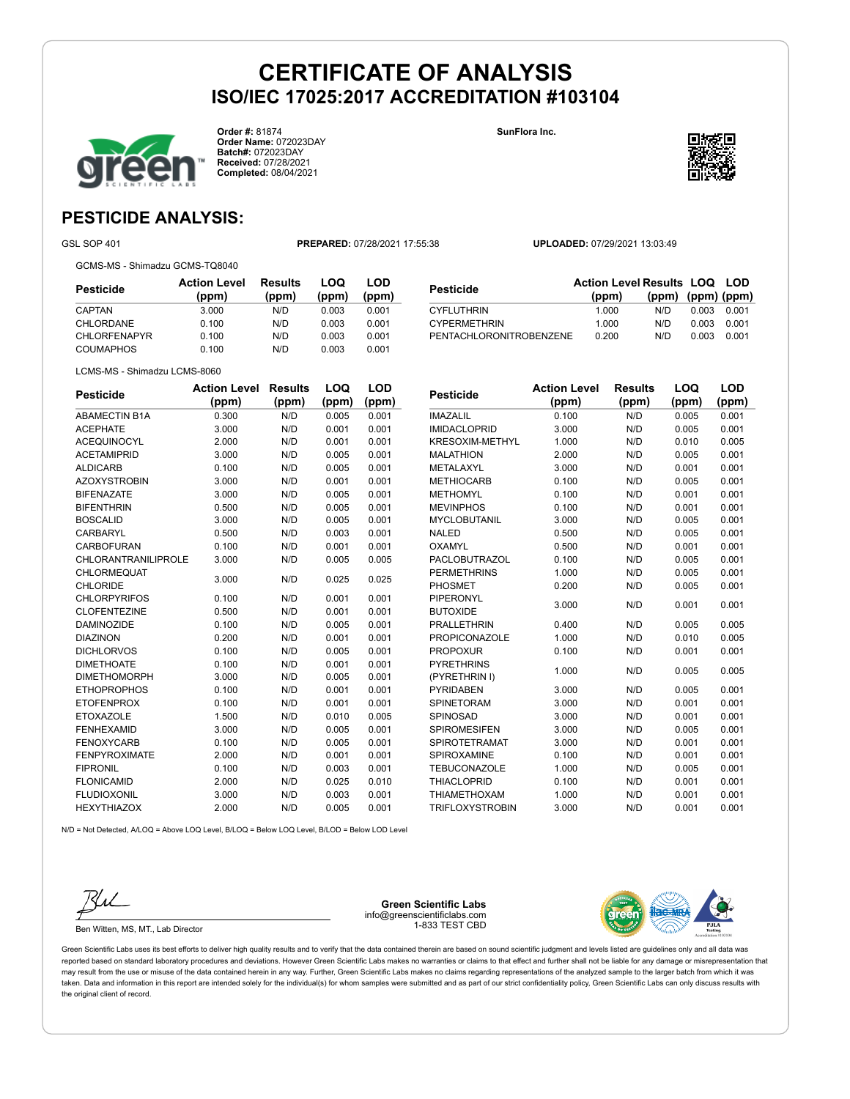**Order #:** 81874 **Order Name:** 072023DAY **Batch#:** 072023DAY **Received:** 07/28/2021 **Completed:** 08/04/2021

**SunFlora Inc.**



# **PESTICIDE ANALYSIS:**

GSL SOP 401 **PREPARED:** 07/28/2021 17:55:38 **UPLOADED:** 07/29/2021 13:03:49

GCMS-MS - Shimadzu GCMS-TQ8040

**Pesticide Action Level (ppm) Results (ppm) LOQ (ppm) LOD (ppm)** CAPTAN 3.000 N/D 0.003 0.001 CHLORDANE 0.100 N/D 0.003 0.001 CHLORFENAPYR 0.100 N/D 0.003 0.001 COUMAPHOS 0.100 N/D 0.003 0.001

| Pesticide               | <b>Action Level Results LOQ LOD</b> |                   |       |       |
|-------------------------|-------------------------------------|-------------------|-------|-------|
|                         | (ppm)                               | (ppm) (ppm) (ppm) |       |       |
| CYFLUTHRIN              | 1.000                               | N/D.              | 0.003 | 0.001 |
| <b>CYPERMETHRIN</b>     | 1.000                               | N/D               | 0.003 | 0.001 |
| PENTACHLORONITROBENZENE | 0.200                               | N/D               | 0.003 | 0.001 |

LCMS-MS - Shimadzu LCMS-8060

| <b>Pesticide</b>           | <b>Action Level</b> | <b>Results</b> | LOQ   | LOD   |
|----------------------------|---------------------|----------------|-------|-------|
|                            | (ppm)               | (ppm)          | (ppm) | (ppm) |
| <b>ABAMECTIN B1A</b>       | 0.300               | N/D            | 0.005 | 0.001 |
| <b>ACEPHATE</b>            | 3.000               | N/D            | 0.001 | 0.001 |
| <b>ACEQUINOCYL</b>         | 2.000               | N/D            | 0.001 | 0.001 |
| <b>ACETAMIPRID</b>         | 3.000               | N/D            | 0.005 | 0.001 |
| <b>ALDICARB</b>            | 0.100               | N/D            | 0.005 | 0.001 |
| <b>AZOXYSTROBIN</b>        | 3.000               | N/D            | 0.001 | 0.001 |
| <b>BIFENAZATE</b>          | 3.000               | N/D            | 0.005 | 0.001 |
| <b>BIFENTHRIN</b>          | 0.500               | N/D            | 0.005 | 0.001 |
| <b>BOSCALID</b>            | 3.000               | N/D            | 0.005 | 0.001 |
| <b>CARBARYL</b>            | 0.500               | N/D            | 0.003 | 0.001 |
| <b>CARBOFURAN</b>          | 0.100               | N/D            | 0.001 | 0.001 |
| <b>CHLORANTRANILIPROLE</b> | 3.000               | N/D            | 0.005 | 0.005 |
| <b>CHLORMEQUAT</b>         |                     |                |       |       |
| <b>CHLORIDE</b>            | 3.000               | N/D            | 0.025 | 0.025 |
| <b>CHLORPYRIFOS</b>        | 0.100               | N/D            | 0.001 | 0.001 |
| <b>CLOFENTEZINE</b>        | 0.500               | N/D            | 0.001 | 0.001 |
| <b>DAMINOZIDE</b>          | 0.100               | N/D            | 0.005 | 0.001 |
| <b>DIAZINON</b>            | 0.200               | N/D            | 0.001 | 0.001 |
| <b>DICHLORVOS</b>          | 0.100               | N/D            | 0.005 | 0.001 |
| <b>DIMETHOATE</b>          | 0.100               | N/D            | 0.001 | 0.001 |
| <b>DIMETHOMORPH</b>        | 3.000               | N/D            | 0.005 | 0.001 |
| <b>ETHOPROPHOS</b>         | 0.100               | N/D            | 0.001 | 0.001 |
| <b>ETOFENPROX</b>          | 0.100               | N/D            | 0.001 | 0.001 |
| <b>ETOXAZOLE</b>           | 1.500               | N/D            | 0.010 | 0.005 |
| <b>FENHEXAMID</b>          | 3.000               | N/D            | 0.005 | 0.001 |
| <b>FENOXYCARB</b>          | 0.100               | N/D            | 0.005 | 0.001 |
| <b>FENPYROXIMATE</b>       | 2.000               | N/D            | 0.001 | 0.001 |
| <b>FIPRONIL</b>            | 0.100               | N/D            | 0.003 | 0.001 |
| <b>FLONICAMID</b>          | 2.000               | N/D            | 0.025 | 0.010 |
| <b>FLUDIOXONIL</b>         | 3.000               | N/D            | 0.003 | 0.001 |
| <b>HEXYTHIAZOX</b>         | 2.000               | N/D            | 0.005 | 0.001 |

| <b>Pesticide</b>       | <b>Action Level</b> | Results | LOQ   | LOD   |
|------------------------|---------------------|---------|-------|-------|
|                        | (ppm)               | (ppm)   | (ppm) | (ppm) |
| <b>IMAZALIL</b>        | 0.100               | N/D     | 0.005 | 0.001 |
| <b>IMIDACLOPRID</b>    | 3.000               | N/D     | 0.005 | 0.001 |
| <b>KRESOXIM-METHYL</b> | 1.000               | N/D     | 0.010 | 0.005 |
| <b>MALATHION</b>       | 2.000               | N/D     | 0.005 | 0.001 |
| METALAXYL              | 3.000               | N/D     | 0.001 | 0.001 |
| <b>METHIOCARB</b>      | 0.100               | N/D     | 0.005 | 0.001 |
| <b>METHOMYL</b>        | 0.100               | N/D     | 0.001 | 0.001 |
| <b>MEVINPHOS</b>       | 0.100               | N/D     | 0.001 | 0.001 |
| <b>MYCLOBUTANIL</b>    | 3.000               | N/D     | 0.005 | 0.001 |
| <b>NALED</b>           | 0.500               | N/D     | 0.005 | 0.001 |
| OXAMYL                 | 0.500               | N/D     | 0.001 | 0.001 |
| PACLOBUTRAZOL          | 0.100               | N/D     | 0.005 | 0.001 |
| <b>PERMETHRINS</b>     | 1.000               | N/D     | 0.005 | 0.001 |
| <b>PHOSMET</b>         | 0.200               | N/D     | 0.005 | 0.001 |
| <b>PIPERONYL</b>       | 3.000               | N/D     | 0.001 | 0.001 |
| <b>BUTOXIDE</b>        |                     |         |       |       |
| <b>PRALLETHRIN</b>     | 0.400               | N/D     | 0.005 | 0.005 |
| <b>PROPICONAZOLE</b>   | 1.000               | N/D     | 0.010 | 0.005 |
| <b>PROPOXUR</b>        | 0.100               | N/D     | 0.001 | 0.001 |
| <b>PYRETHRINS</b>      | 1.000               | N/D     | 0.005 | 0.005 |
| (PYRETHRIN I)          |                     |         |       |       |
| <b>PYRIDABEN</b>       | 3.000               | N/D     | 0.005 | 0.001 |
| <b>SPINETORAM</b>      | 3.000               | N/D     | 0.001 | 0.001 |
| <b>SPINOSAD</b>        | 3.000               | N/D     | 0.001 | 0.001 |
| <b>SPIROMESIFEN</b>    | 3.000               | N/D     | 0.005 | 0.001 |
| <b>SPIROTETRAMAT</b>   | 3.000               | N/D     | 0.001 | 0.001 |
| SPIROXAMINE            | 0.100               | N/D     | 0.001 | 0.001 |
| <b>TEBUCONAZOLE</b>    | 1.000               | N/D     | 0.005 | 0.001 |
| <b>THIACLOPRID</b>     | 0.100               | N/D     | 0.001 | 0.001 |

THIAMETHOXAM 1.000 N/D 0.001 0.001 TRIFLOXYSTROBIN 3.000 N/D 0.001 0.001

N/D = Not Detected, A/LOQ = Above LOQ Level, B/LOQ = Below LOQ Level, B/LOD = Below LOD Level



Ben Witten, MS, MT., Lab Director

**Green Scientific Labs** info@greenscientificlabs.com 1-833 TEST CBD

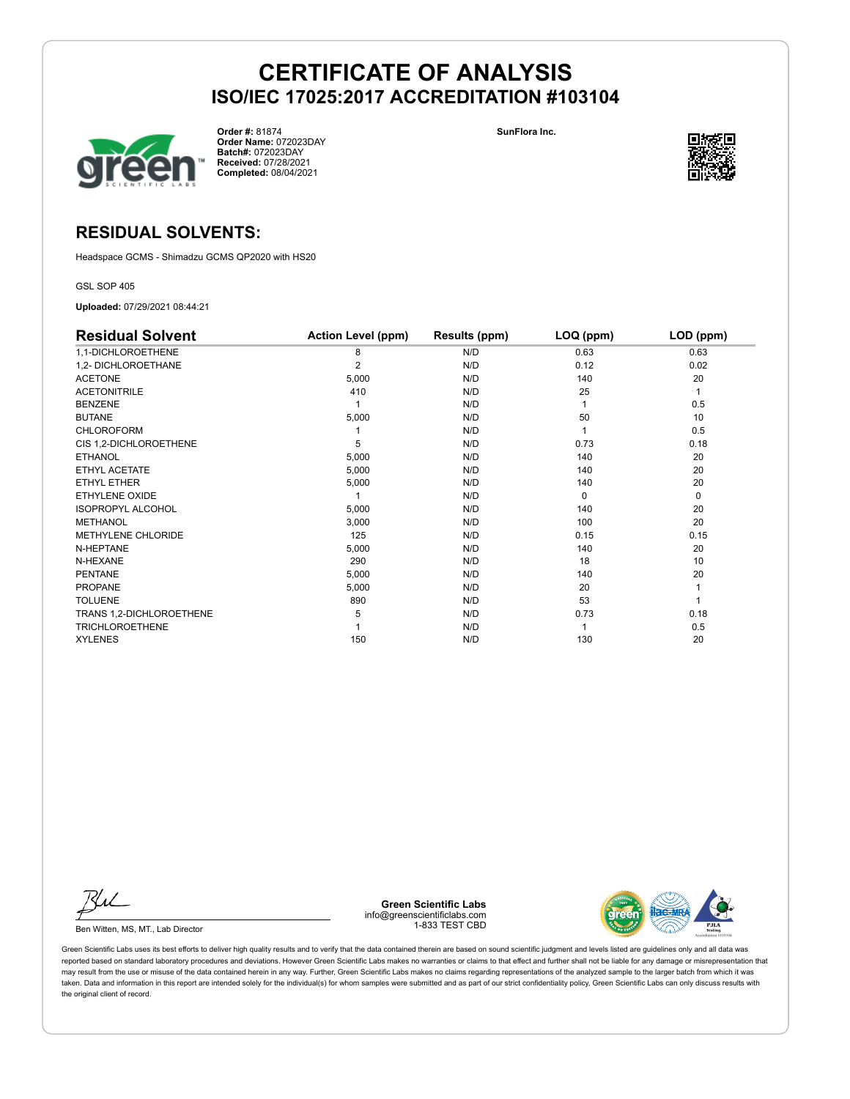

**Order #:** 81874 **Order Name:** 072023DAY **Batch#:** 072023DAY **Received:** 07/28/2021 **Completed:** 08/04/2021

**SunFlora Inc.**



## **RESIDUAL SOLVENTS:**

Headspace GCMS - Shimadzu GCMS QP2020 with HS20

GSL SOP 405

**Uploaded:** 07/29/2021 08:44:21

| <b>Residual Solvent</b>  | <b>Action Level (ppm)</b> | Results (ppm) | LOQ (ppm) | LOD (ppm) |
|--------------------------|---------------------------|---------------|-----------|-----------|
| 1,1-DICHLOROETHENE       | 8                         | N/D           | 0.63      | 0.63      |
| 1,2- DICHLOROETHANE      | $\overline{2}$            | N/D           | 0.12      | 0.02      |
| <b>ACETONE</b>           | 5,000                     | N/D           | 140       | 20        |
| <b>ACETONITRILE</b>      | 410                       | N/D           | 25        | 1         |
| <b>BENZENE</b>           |                           | N/D           |           | 0.5       |
| <b>BUTANE</b>            | 5,000                     | N/D           | 50        | 10        |
| <b>CHLOROFORM</b>        |                           | N/D           |           | 0.5       |
| CIS 1,2-DICHLOROETHENE   | 5                         | N/D           | 0.73      | 0.18      |
| <b>ETHANOL</b>           | 5,000                     | N/D           | 140       | 20        |
| ETHYL ACETATE            | 5,000                     | N/D           | 140       | 20        |
| ETHYL ETHER              | 5,000                     | N/D           | 140       | 20        |
| ETHYLENE OXIDE           |                           | N/D           | $\Omega$  | 0         |
| <b>ISOPROPYL ALCOHOL</b> | 5,000                     | N/D           | 140       | 20        |
| <b>METHANOL</b>          | 3,000                     | N/D           | 100       | 20        |
| METHYLENE CHLORIDE       | 125                       | N/D           | 0.15      | 0.15      |
| N-HEPTANE                | 5,000                     | N/D           | 140       | 20        |
| N-HEXANE                 | 290                       | N/D           | 18        | 10        |
| <b>PENTANE</b>           | 5,000                     | N/D           | 140       | 20        |
| <b>PROPANE</b>           | 5,000                     | N/D           | 20        |           |
| <b>TOLUENE</b>           | 890                       | N/D           | 53        |           |
| TRANS 1,2-DICHLOROETHENE | 5                         | N/D           | 0.73      | 0.18      |
| <b>TRICHLOROETHENE</b>   |                           | N/D           |           | 0.5       |
| <b>XYLENES</b>           | 150                       | N/D           | 130       | 20        |

Ku

Ben Witten, MS, MT., Lab Director

**Green Scientific Labs** info@greenscientificlabs.com 1-833 TEST CBD

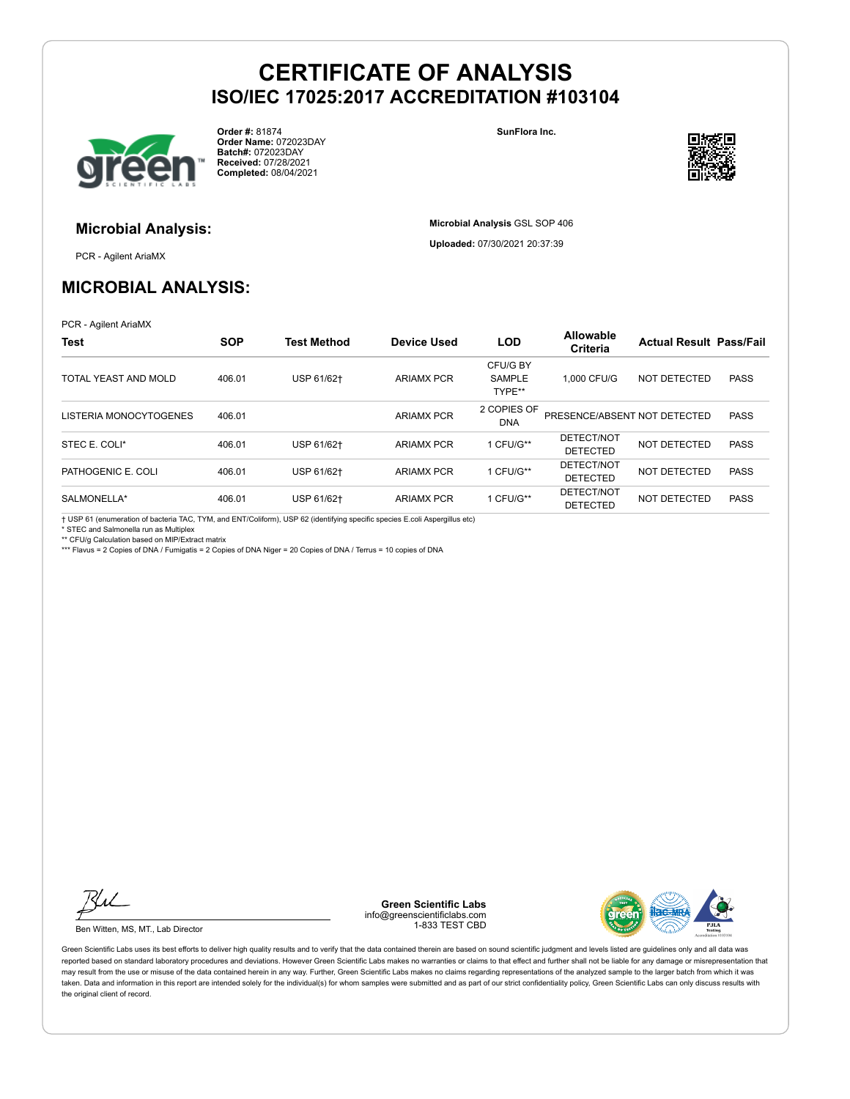

**Order #:** 81874 **Order Name:** 072023DAY **Batch#:** 072023DAY **Received:** 07/28/2021 **Completed:** 08/04/2021

**SunFlora Inc.**

**Microbial Analysis** GSL SOP 406 **Uploaded:** 07/30/2021 20:37:39



# **Microbial Analysis:**

PCR - Agilent AriaMX

# **MICROBIAL ANALYSIS:**

PCR - Agilent AriaMX

| <b>Test</b>            | <b>SOP</b> | <b>Test Method</b> | <b>Device Used</b> | <b>LOD</b>                          | <b>Allowable</b><br>Criteria  | <b>Actual Result Pass/Fail</b> |             |
|------------------------|------------|--------------------|--------------------|-------------------------------------|-------------------------------|--------------------------------|-------------|
| TOTAL YEAST AND MOLD   | 406.01     | USP 61/62+         | <b>ARIAMX PCR</b>  | CFU/G BY<br><b>SAMPLE</b><br>TYPE** | 1.000 CFU/G                   | <b>NOT DETECTED</b>            | <b>PASS</b> |
| LISTERIA MONOCYTOGENES | 406.01     |                    | <b>ARIAMX PCR</b>  | 2 COPIES OF<br><b>DNA</b>           | PRESENCE/ABSENT NOT DETECTED  |                                | <b>PASS</b> |
| STEC E. COLI*          | 406.01     | USP 61/62+         | <b>ARIAMX PCR</b>  | 1 CFU/G**                           | DETECT/NOT<br><b>DETECTED</b> | NOT DETECTED                   | <b>PASS</b> |
| PATHOGENIC E. COLI     | 406.01     | USP 61/62+         | <b>ARIAMX PCR</b>  | 1 CFU/G**                           | DETECT/NOT<br><b>DETECTED</b> | NOT DETECTED                   | <b>PASS</b> |
| SALMONELLA*            | 406.01     | USP 61/62+         | <b>ARIAMX PCR</b>  | 1 CFU/G**                           | DETECT/NOT<br><b>DETECTED</b> | NOT DETECTED                   | <b>PASS</b> |

† USP 61 (enumeration of bacteria TAC, TYM, and ENT/Coliform), USP 62 (identifying specific species E.coli Aspergillus etc)

\* STEC and Salmonella run as Multiplex

\*\* CFU/g Calculation based on MIP/Extract matrix

\*\*\* Flavus = 2 Copies of DNA / Fumigatis = 2 Copies of DNA Niger = 20 Copies of DNA / Terrus = 10 copies of DNA

Ku

Ben Witten, MS, MT., Lab Director

**Green Scientific Labs** info@greenscientificlabs.com 1-833 TEST CBD